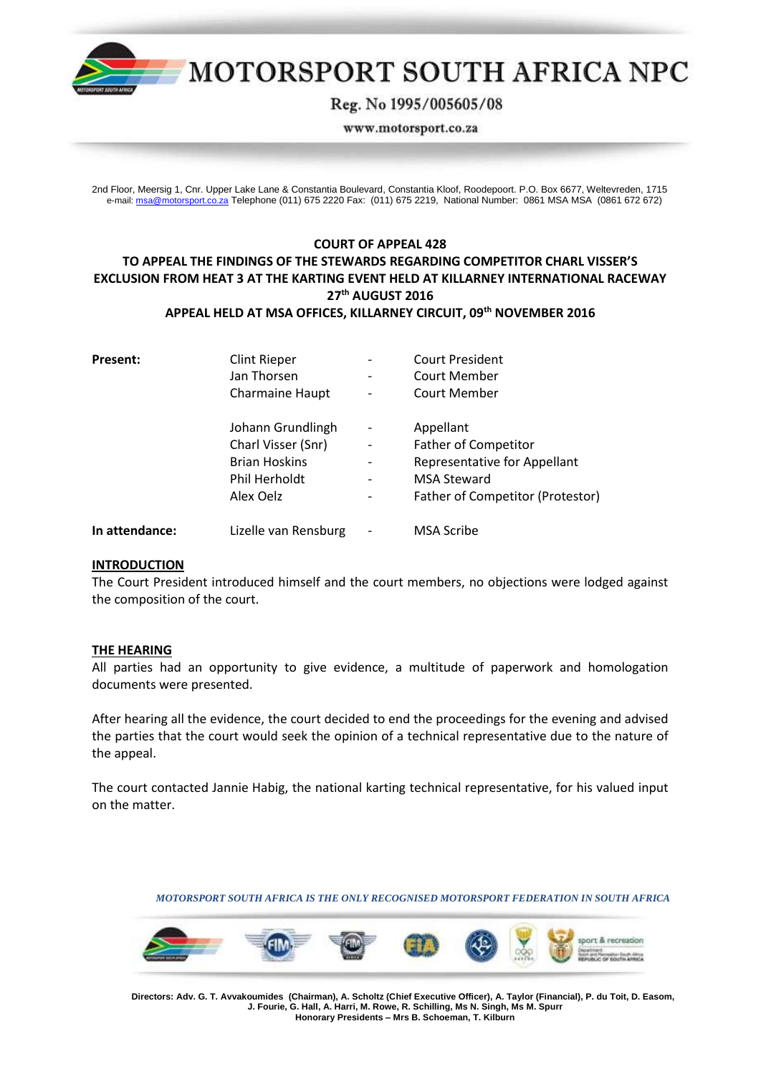

# MOTORSPORT SOUTH AFRICA NPC

Reg. No 1995/005605/08

www.motorsport.co.za

2nd Floor, Meersig 1, Cnr. Upper Lake Lane & Constantia Boulevard, Constantia Kloof, Roodepoort. P.O. Box 6677, Weltevreden, 1715 e-mail[: msa@motorsport.co.za](mailto:msa@motorsport.co.za) Telephone (011) 675 2220 Fax: (011) 675 2219, National Number: 0861 MSA MSA (0861 672 672)

## **COURT OF APPEAL 428 TO APPEAL THE FINDINGS OF THE STEWARDS REGARDING COMPETITOR CHARL VISSER'S EXCLUSION FROM HEAT 3 AT THE KARTING EVENT HELD AT KILLARNEY INTERNATIONAL RACEWAY 27th AUGUST 2016 APPEAL HELD AT MSA OFFICES, KILLARNEY CIRCUIT, 09 th NOVEMBER 2016**

| <b>Present:</b> | <b>Clint Rieper</b><br>Jan Thorsen                          |                        | <b>Court President</b><br><b>Court Member</b>                                     |
|-----------------|-------------------------------------------------------------|------------------------|-----------------------------------------------------------------------------------|
|                 | <b>Charmaine Haupt</b><br>Johann Grundlingh                 |                        | Court Member<br>Appellant                                                         |
|                 | Charl Visser (Snr)<br><b>Brian Hoskins</b><br>Phil Herholdt | $\qquad \qquad -$<br>- | <b>Father of Competitor</b><br>Representative for Appellant<br><b>MSA Steward</b> |
|                 | Alex Oelz                                                   |                        | <b>Father of Competitor (Protestor)</b>                                           |
| In attendance:  | Lizelle van Rensburg                                        |                        | <b>MSA Scribe</b>                                                                 |

## **INTRODUCTION**

The Court President introduced himself and the court members, no objections were lodged against the composition of the court.

#### **THE HEARING**

All parties had an opportunity to give evidence, a multitude of paperwork and homologation documents were presented.

After hearing all the evidence, the court decided to end the proceedings for the evening and advised the parties that the court would seek the opinion of a technical representative due to the nature of the appeal.

The court contacted Jannie Habig, the national karting technical representative, for his valued input on the matter.

*MOTORSPORT SOUTH AFRICA IS THE ONLY RECOGNISED MOTORSPORT FEDERATION IN SOUTH AFRICA*



 **Directors: Adv. G. T. Avvakoumides (Chairman), A. Scholtz (Chief Executive Officer), A. Taylor (Financial), P. du Toit, D. Easom, J. Fourie, G. Hall, A. Harri, M. Rowe, R. Schilling, Ms N. Singh, Ms M. Spurr Honorary Presidents – Mrs B. Schoeman, T. Kilburn**